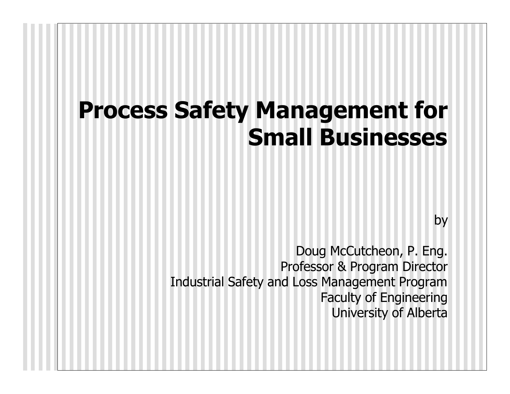## *Process Safety Management for Small Businesses*

*by*

*Doug McCutcheon, P. Eng. Professor & Program Director Industrial Safety and Loss Management Program Faculty of Engineering University of Alberta*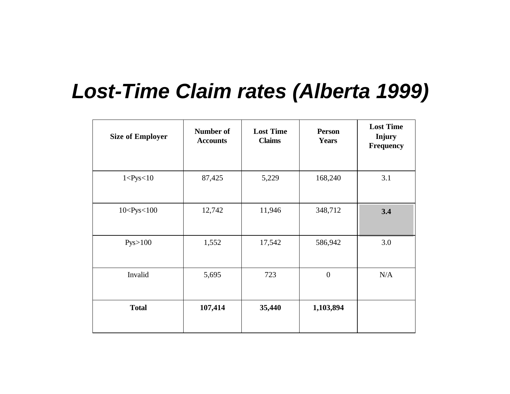#### *Lost-Time Claim rates (Alberta 1999)*

| <b>Size of Employer</b> | <b>Number of</b><br><b>Accounts</b> | <b>Lost Time</b><br><b>Claims</b> | <b>Person</b><br><b>Years</b> | <b>Lost Time</b><br><b>Injury</b><br><b>Frequency</b> |
|-------------------------|-------------------------------------|-----------------------------------|-------------------------------|-------------------------------------------------------|
| 1 < Pys < 10            | 87,425                              | 5,229                             | 168,240                       | 3.1                                                   |
| 10 < Pys < 100          | 12,742                              | 11,946                            | 348,712                       | 3.4                                                   |
| Pys > 100               | 1,552                               | 17,542                            | 586,942                       | 3.0                                                   |
| Invalid                 | 5,695                               | 723                               | $\boldsymbol{0}$              | N/A                                                   |
| <b>Total</b>            | 107,414                             | 35,440                            | 1,103,894                     |                                                       |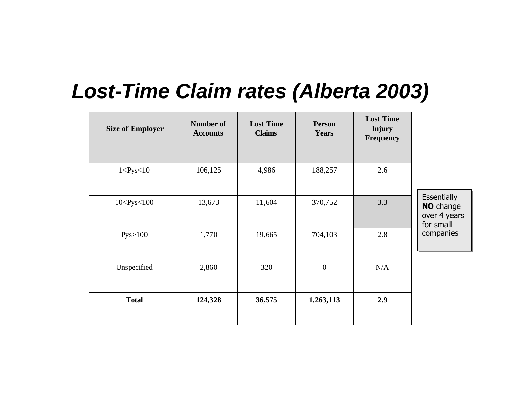#### *Lost-Time Claim rates (Alberta 2003)*

| <b>Size of Employer</b> | <b>Number of</b><br><b>Accounts</b> | <b>Lost Time</b><br><b>Claims</b> | <b>Person</b><br><b>Years</b> | <b>Lost Time</b><br><b>Injury</b><br><b>Frequency</b> |                                                                     |
|-------------------------|-------------------------------------|-----------------------------------|-------------------------------|-------------------------------------------------------|---------------------------------------------------------------------|
| 1 < Pys < 10            | 106,125                             | 4,986                             | 188,257                       | 2.6                                                   |                                                                     |
| 10 < Pys < 100          | 13,673                              | 11,604                            | 370,752                       | 3.3                                                   | <b>Essentially</b><br><b>NO</b> change<br>over 4 years<br>for small |
| Pys>100                 | 1,770                               | 19,665                            | 704,103                       | 2.8                                                   | companies                                                           |
| Unspecified             | 2,860                               | 320                               | $\boldsymbol{0}$              | N/A                                                   |                                                                     |
| <b>Total</b>            | 124,328                             | 36,575                            | 1,263,113                     | 2.9                                                   |                                                                     |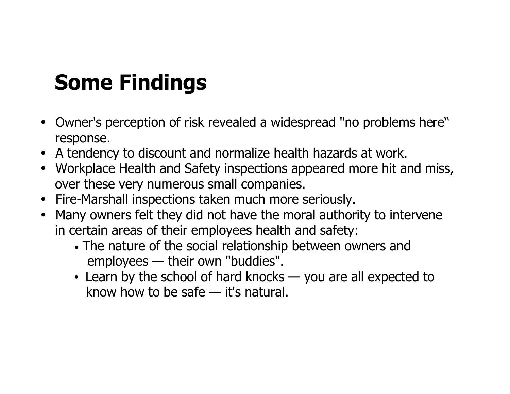# *Some Findings*

- *Owner's perception of risk revealed a widespread "no problems here" response.*
- *A tendency to discount and normalize health hazards at work.*
- *Workplace Health and Safety inspections appeared more hit and miss, over these very numerous small companies.*
- *Fire-Marshall inspections taken much more seriously.*
- *Many owners felt they did not have the moral authority to intervene in certain areas of their employees health and safety:*
	- *• The nature of the social relationship between owners and employees — their own "buddies".*
	- *Learn by the school of hard knocks — you are all expected to know how to be safe — it's natural.*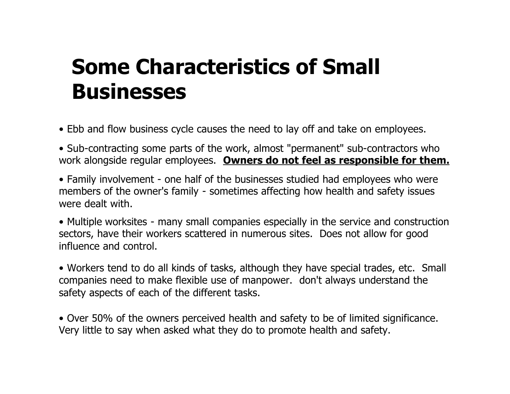### *Some Characteristics of Small Businesses*

*• Ebb and flow business cycle causes the need to lay off and take on employees.*

*• Sub-contracting some parts of the work, almost "permanent" sub-contractors who work alongside regular employees. Owners do not feel as responsible for them.*

*• Family involvement - one half of the businesses studied had employees who were members of the owner's family - sometimes affecting how health and safety issues were dealt with.*

*• Multiple worksites - many small companies especially in the service and construction sectors, have their workers scattered in numerous sites. Does not allow for good influence and control.*

• Workers tend to do all kinds of tasks, although they have special trades, etc. Small *companies need to make flexible use of manpower. don't always understand the safety aspects of each of the different tasks.*

*• Over 50% of the owners perceived health and safety to be of limited significance. Very little to say when asked what they do to promote health and safety.*